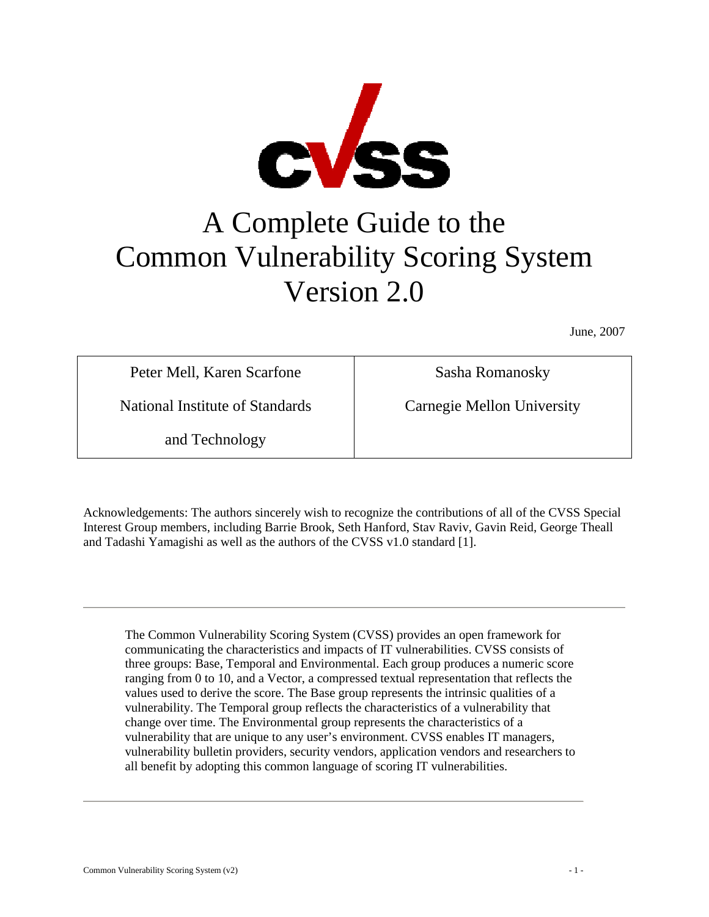

# A Complete Guide to the Common Vulnerability Scoring System Version 2.0

June, 2007

Peter Mell, Karen Scarfone

National Institute of Standards

Sasha Romanosky

Carnegie Mellon University

and Technology

Acknowledgements: The authors sincerely wish to recognize the contributions of all of the CVSS Special Interest Group members, including Barrie Brook, Seth Hanford, Stav Raviv, Gavin Reid, George Theall and Tadashi Yamagishi as well as the authors of the CVSS v1.0 standard [1].

The Common Vulnerability Scoring System (CVSS) provides an open framework for communicating the characteristics and impacts of IT vulnerabilities. CVSS consists of three groups: Base, Temporal and Environmental. Each group produces a numeric score ranging from 0 to 10, and a Vector, a compressed textual representation that reflects the values used to derive the score. The Base group represents the intrinsic qualities of a vulnerability. The Temporal group reflects the characteristics of a vulnerability that change over time. The Environmental group represents the characteristics of a vulnerability that are unique to any user's environment. CVSS enables IT managers, vulnerability bulletin providers, security vendors, application vendors and researchers to all benefit by adopting this common language of scoring IT vulnerabilities.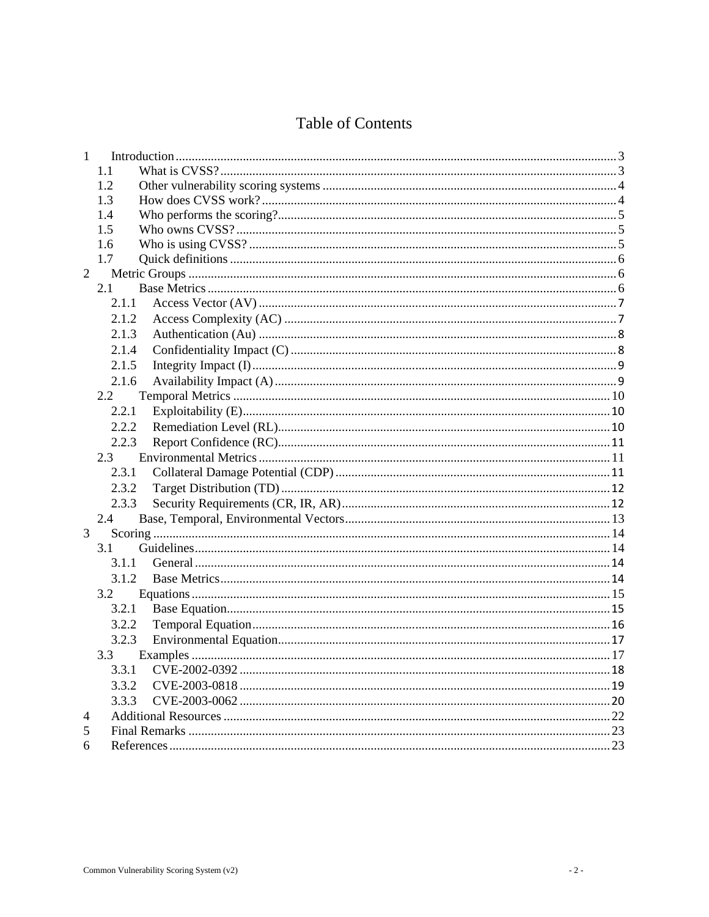#### **Table of Contents**

| $\mathbf{1}$ |       |  |  |
|--------------|-------|--|--|
|              | 1.1   |  |  |
|              | 1.2   |  |  |
|              | 1.3   |  |  |
|              | 1.4   |  |  |
|              | 1.5   |  |  |
|              | 1.6   |  |  |
|              | 1.7   |  |  |
| 2            |       |  |  |
|              | 2.1   |  |  |
|              | 2.1.1 |  |  |
|              | 2.1.2 |  |  |
|              | 2.1.3 |  |  |
|              | 2.1.4 |  |  |
|              | 2.1.5 |  |  |
|              | 2.1.6 |  |  |
|              | 2.2   |  |  |
|              | 2.2.1 |  |  |
|              | 2.2.2 |  |  |
|              | 2.2.3 |  |  |
|              | 2.3   |  |  |
|              | 2.3.1 |  |  |
|              | 2.3.2 |  |  |
|              | 2.3.3 |  |  |
|              | 2.4   |  |  |
| 3            |       |  |  |
|              | 3.1   |  |  |
|              | 3.1.1 |  |  |
|              | 3.1.2 |  |  |
|              | 3.2   |  |  |
|              | 3.2.1 |  |  |
|              | 3.2.2 |  |  |
|              | 3.2.3 |  |  |
|              | 3.3   |  |  |
|              |       |  |  |
|              | 3.3.2 |  |  |
|              | 3.3.3 |  |  |
| 4            |       |  |  |
| 5            |       |  |  |
| 6            |       |  |  |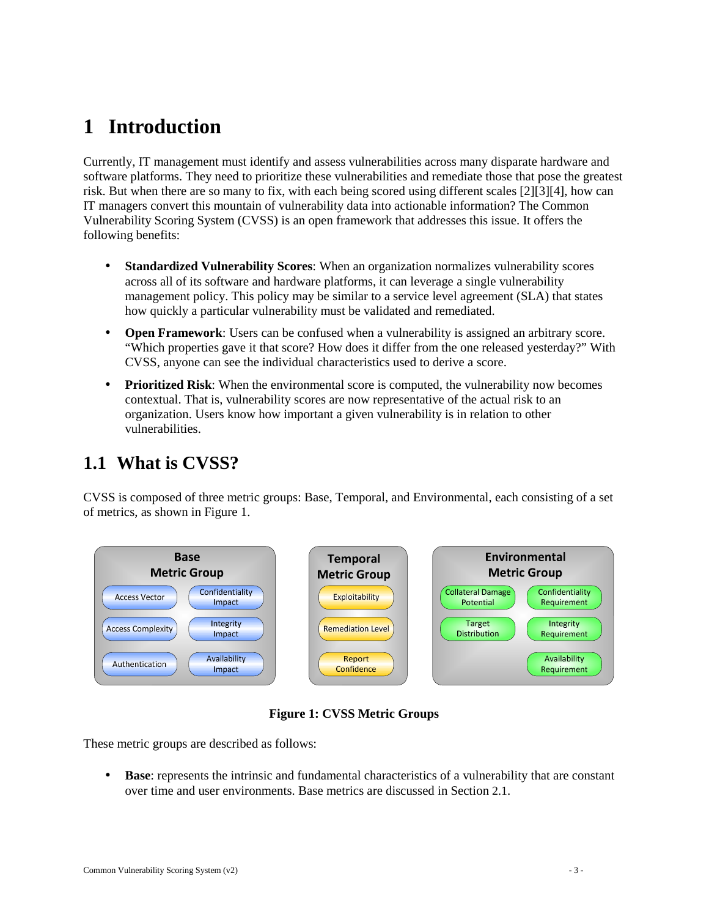# **1 Introduction**

Currently, IT management must identify and assess vulnerabilities across many disparate hardware and software platforms. They need to prioritize these vulnerabilities and remediate those that pose the greatest risk. But when there are so many to fix, with each being scored using different scales [2][3][4], how can IT managers convert this mountain of vulnerability data into actionable information? The Common Vulnerability Scoring System (CVSS) is an open framework that addresses this issue. It offers the following benefits:

- **Standardized Vulnerability Scores**: When an organization normalizes vulnerability scores across all of its software and hardware platforms, it can leverage a single vulnerability management policy. This policy may be similar to a service level agreement (SLA) that states how quickly a particular vulnerability must be validated and remediated.
- **Open Framework:** Users can be confused when a vulnerability is assigned an arbitrary score. "Which properties gave it that score? How does it differ from the one released yesterday?" With CVSS, anyone can see the individual characteristics used to derive a score.
- **Prioritized Risk**: When the environmental score is computed, the vulnerability now becomes contextual. That is, vulnerability scores are now representative of the actual risk to an organization. Users know how important a given vulnerability is in relation to other vulnerabilities.

### **1.1 What is CVSS?**

CVSS is composed of three metric groups: Base, Temporal, and Environmental, each consisting of a set of metrics, as shown in Figure 1.



**Figure 1: CVSS Metric Groups** 

These metric groups are described as follows:

• **Base:** represents the intrinsic and fundamental characteristics of a vulnerability that are constant over time and user environments. Base metrics are discussed in Section 2.1.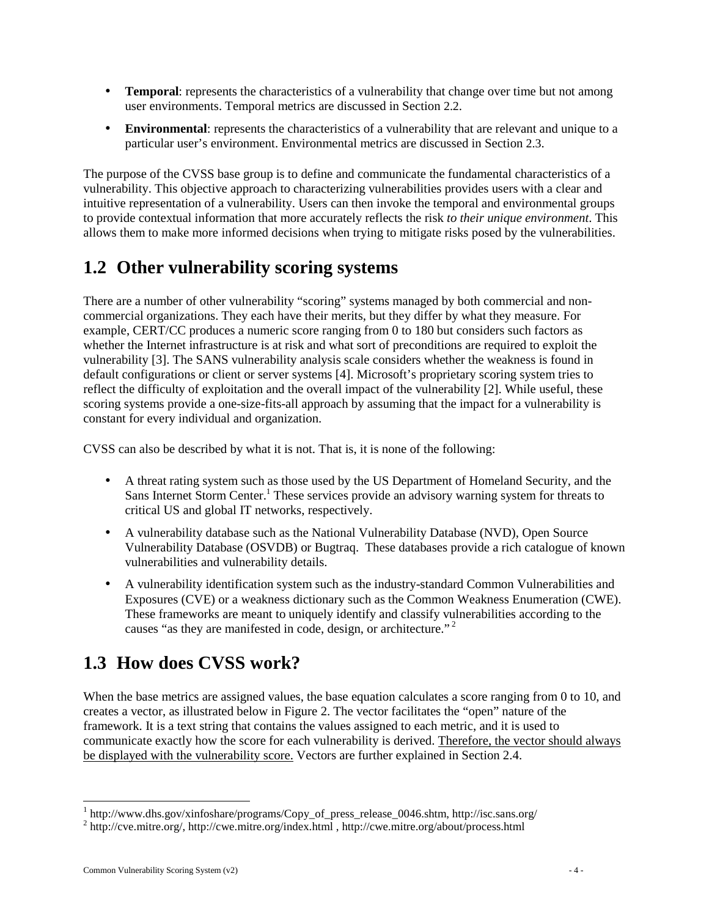- **Temporal:** represents the characteristics of a vulnerability that change over time but not among user environments. Temporal metrics are discussed in Section 2.2.
- **Environmental**: represents the characteristics of a vulnerability that are relevant and unique to a particular user's environment. Environmental metrics are discussed in Section 2.3.

The purpose of the CVSS base group is to define and communicate the fundamental characteristics of a vulnerability. This objective approach to characterizing vulnerabilities provides users with a clear and intuitive representation of a vulnerability. Users can then invoke the temporal and environmental groups to provide contextual information that more accurately reflects the risk *to their unique environment*. This allows them to make more informed decisions when trying to mitigate risks posed by the vulnerabilities.

# **1.2 Other vulnerability scoring systems**

There are a number of other vulnerability "scoring" systems managed by both commercial and noncommercial organizations. They each have their merits, but they differ by what they measure. For example, CERT/CC produces a numeric score ranging from 0 to 180 but considers such factors as whether the Internet infrastructure is at risk and what sort of preconditions are required to exploit the vulnerability [3]. The SANS vulnerability analysis scale considers whether the weakness is found in default configurations or client or server systems [4]. Microsoft's proprietary scoring system tries to reflect the difficulty of exploitation and the overall impact of the vulnerability [2]. While useful, these scoring systems provide a one-size-fits-all approach by assuming that the impact for a vulnerability is constant for every individual and organization.

CVSS can also be described by what it is not. That is, it is none of the following:

- A threat rating system such as those used by the US Department of Homeland Security, and the Sans Internet Storm Center.<sup>1</sup> These services provide an advisory warning system for threats to critical US and global IT networks, respectively.
- A vulnerability database such as the National Vulnerability Database (NVD), Open Source Vulnerability Database (OSVDB) or Bugtraq. These databases provide a rich catalogue of known vulnerabilities and vulnerability details.
- A vulnerability identification system such as the industry-standard Common Vulnerabilities and Exposures (CVE) or a weakness dictionary such as the Common Weakness Enumeration (CWE). These frameworks are meant to uniquely identify and classify vulnerabilities according to the causes "as they are manifested in code, design, or architecture."<sup>2</sup>

# **1.3 How does CVSS work?**

When the base metrics are assigned values, the base equation calculates a score ranging from 0 to 10, and creates a vector, as illustrated below in Figure 2. The vector facilitates the "open" nature of the framework. It is a text string that contains the values assigned to each metric, and it is used to communicate exactly how the score for each vulnerability is derived. Therefore, the vector should always be displayed with the vulnerability score. Vectors are further explained in Section 2.4.

 1 http://www.dhs.gov/xinfoshare/programs/Copy\_of\_press\_release\_0046.shtm, http://isc.sans.org/

<sup>&</sup>lt;sup>2</sup> http://cve.mitre.org/, http://cwe.mitre.org/index.html , http://cwe.mitre.org/about/process.html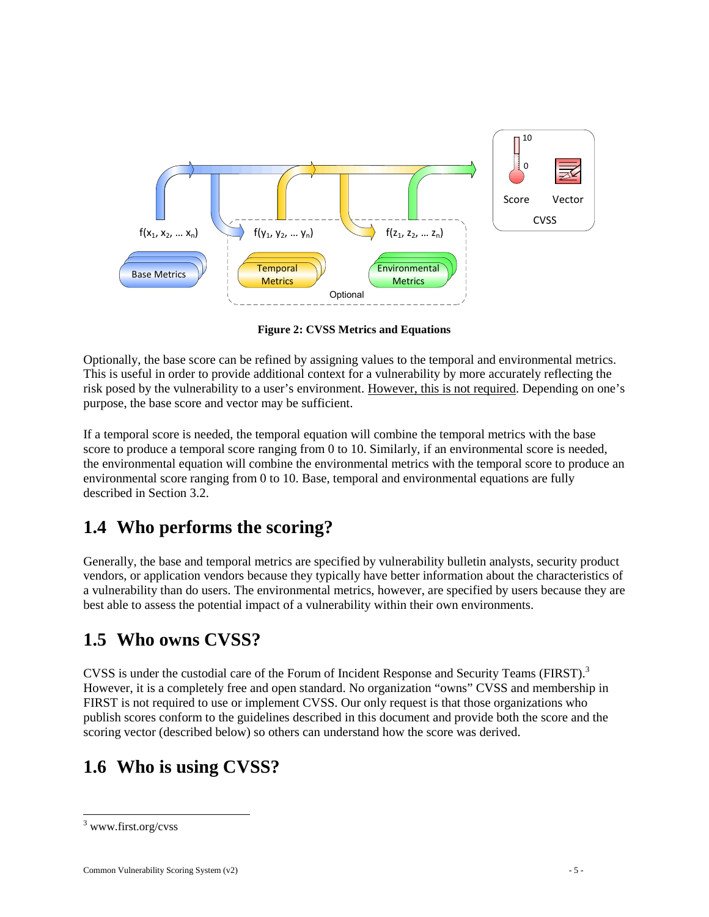

**Figure 2: CVSS Metrics and Equations** 

Optionally, the base score can be refined by assigning values to the temporal and environmental metrics. This is useful in order to provide additional context for a vulnerability by more accurately reflecting the risk posed by the vulnerability to a user's environment. However, this is not required. Depending on one's purpose, the base score and vector may be sufficient.

If a temporal score is needed, the temporal equation will combine the temporal metrics with the base score to produce a temporal score ranging from 0 to 10. Similarly, if an environmental score is needed, the environmental equation will combine the environmental metrics with the temporal score to produce an environmental score ranging from 0 to 10. Base, temporal and environmental equations are fully described in Section 3.2.

# **1.4 Who performs the scoring?**

Generally, the base and temporal metrics are specified by vulnerability bulletin analysts, security product vendors, or application vendors because they typically have better information about the characteristics of a vulnerability than do users. The environmental metrics, however, are specified by users because they are best able to assess the potential impact of a vulnerability within their own environments.

# **1.5 Who owns CVSS?**

CVSS is under the custodial care of the Forum of Incident Response and Security Teams (FIRST).<sup>3</sup> However, it is a completely free and open standard. No organization "owns" CVSS and membership in FIRST is not required to use or implement CVSS. Our only request is that those organizations who publish scores conform to the guidelines described in this document and provide both the score and the scoring vector (described below) so others can understand how the score was derived.

# **1.6 Who is using CVSS?**

1

<sup>3</sup> www.first.org/cvss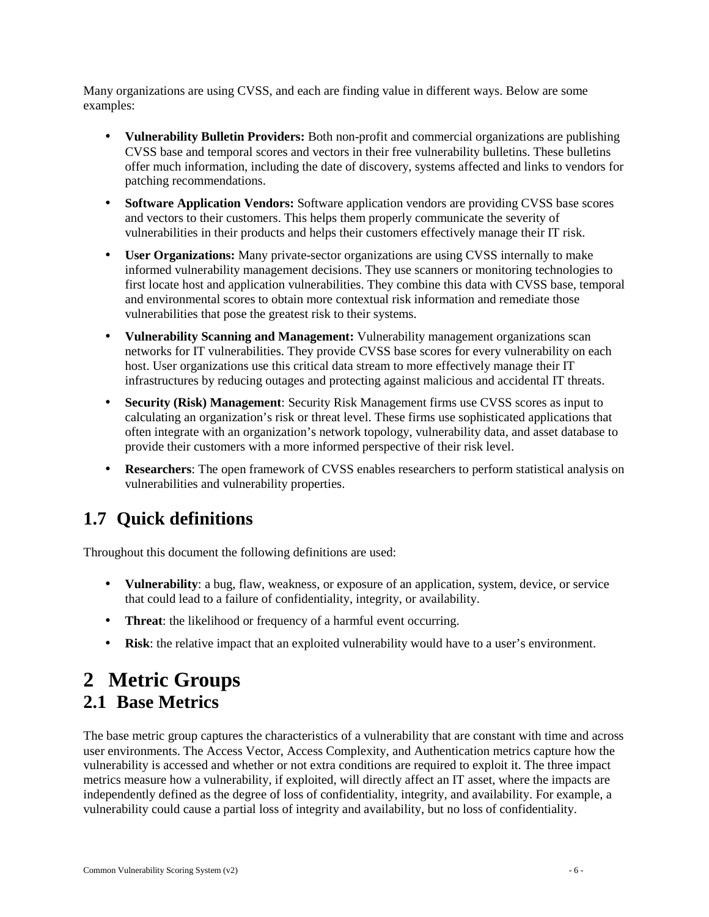Many organizations are using CVSS, and each are finding value in different ways. Below are some examples:

- **Vulnerability Bulletin Providers:** Both non-profit and commercial organizations are publishing CVSS base and temporal scores and vectors in their free vulnerability bulletins. These bulletins offer much information, including the date of discovery, systems affected and links to vendors for patching recommendations.
- **Software Application Vendors:** Software application vendors are providing CVSS base scores and vectors to their customers. This helps them properly communicate the severity of vulnerabilities in their products and helps their customers effectively manage their IT risk.
- **User Organizations:** Many private-sector organizations are using CVSS internally to make informed vulnerability management decisions. They use scanners or monitoring technologies to first locate host and application vulnerabilities. They combine this data with CVSS base, temporal and environmental scores to obtain more contextual risk information and remediate those vulnerabilities that pose the greatest risk to their systems.
- **Vulnerability Scanning and Management:** Vulnerability management organizations scan networks for IT vulnerabilities. They provide CVSS base scores for every vulnerability on each host. User organizations use this critical data stream to more effectively manage their IT infrastructures by reducing outages and protecting against malicious and accidental IT threats.
- **Security (Risk) Management**: Security Risk Management firms use CVSS scores as input to calculating an organization's risk or threat level. These firms use sophisticated applications that often integrate with an organization's network topology, vulnerability data, and asset database to provide their customers with a more informed perspective of their risk level.
- **Researchers**: The open framework of CVSS enables researchers to perform statistical analysis on vulnerabilities and vulnerability properties.

# **1.7 Quick definitions**

Throughout this document the following definitions are used:

- **Vulnerability**: a bug, flaw, weakness, or exposure of an application, system, device, or service that could lead to a failure of confidentiality, integrity, or availability.
- **Threat**: the likelihood or frequency of a harmful event occurring.
- **Risk**: the relative impact that an exploited vulnerability would have to a user's environment.

### **2 Metric Groups 2.1 Base Metrics**

The base metric group captures the characteristics of a vulnerability that are constant with time and across user environments. The Access Vector, Access Complexity, and Authentication metrics capture how the vulnerability is accessed and whether or not extra conditions are required to exploit it. The three impact metrics measure how a vulnerability, if exploited, will directly affect an IT asset, where the impacts are independently defined as the degree of loss of confidentiality, integrity, and availability. For example, a vulnerability could cause a partial loss of integrity and availability, but no loss of confidentiality.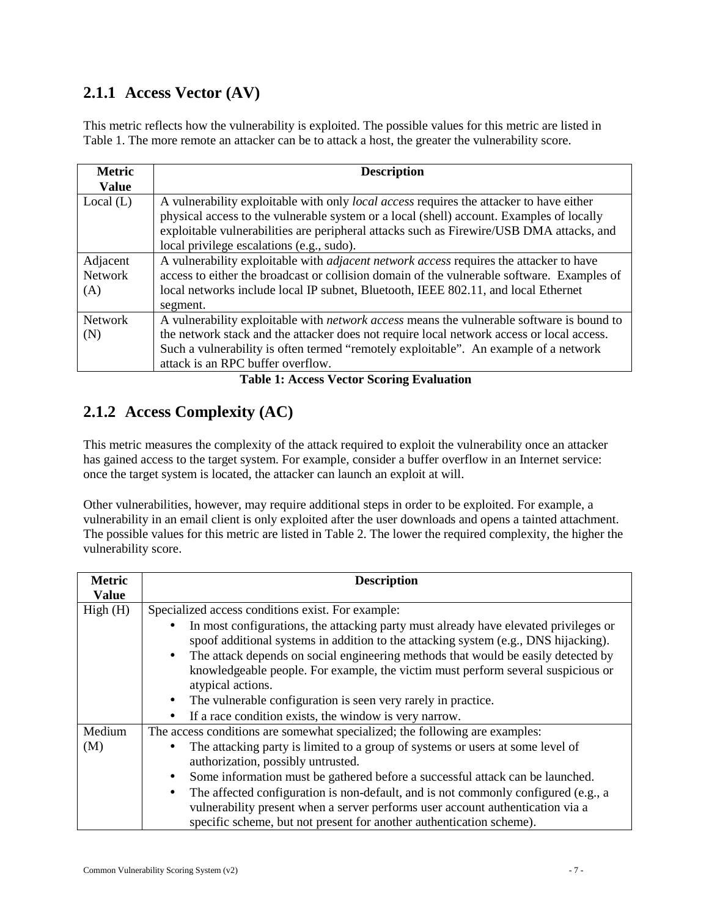#### **2.1.1 Access Vector (AV)**

This metric reflects how the vulnerability is exploited. The possible values for this metric are listed in Table 1. The more remote an attacker can be to attack a host, the greater the vulnerability score.

| <b>Metric</b>              | <b>Description</b>                                                                                                                                                                                                                                                                     |
|----------------------------|----------------------------------------------------------------------------------------------------------------------------------------------------------------------------------------------------------------------------------------------------------------------------------------|
| <b>Value</b>               |                                                                                                                                                                                                                                                                                        |
| Local $(L)$                | A vulnerability exploitable with only <i>local access</i> requires the attacker to have either<br>physical access to the vulnerable system or a local (shell) account. Examples of locally<br>exploitable vulnerabilities are peripheral attacks such as Firewire/USB DMA attacks, and |
|                            | local privilege escalations (e.g., sudo).                                                                                                                                                                                                                                              |
| Adjacent<br>Network<br>(A) | A vulnerability exploitable with <i>adjacent network access</i> requires the attacker to have<br>access to either the broadcast or collision domain of the vulnerable software. Examples of<br>local networks include local IP subnet, Bluetooth, IEEE 802.11, and local Ethernet      |
| <b>Network</b>             | segment.<br>A vulnerability exploitable with <i>network access</i> means the vulnerable software is bound to                                                                                                                                                                           |
| (N)                        | the network stack and the attacker does not require local network access or local access.<br>Such a vulnerability is often termed "remotely exploitable". An example of a network                                                                                                      |
|                            | attack is an RPC buffer overflow.<br>$\mathbf{m}$ is a set of the set of $\mathbf{m}$ is the set of $\mathbf{m}$ is the set of $\mathbf{m}$ is the set of $\mathbf{m}$                                                                                                                 |

 **Table 1: Access Vector Scoring Evaluation** 

#### **2.1.2 Access Complexity (AC)**

This metric measures the complexity of the attack required to exploit the vulnerability once an attacker has gained access to the target system. For example, consider a buffer overflow in an Internet service: once the target system is located, the attacker can launch an exploit at will.

Other vulnerabilities, however, may require additional steps in order to be exploited. For example, a vulnerability in an email client is only exploited after the user downloads and opens a tainted attachment. The possible values for this metric are listed in Table 2. The lower the required complexity, the higher the vulnerability score.

| <b>Metric</b> | <b>Description</b>                                                                                                                                                                 |
|---------------|------------------------------------------------------------------------------------------------------------------------------------------------------------------------------------|
| <b>Value</b>  |                                                                                                                                                                                    |
| High(H)       | Specialized access conditions exist. For example:                                                                                                                                  |
|               | In most configurations, the attacking party must already have elevated privileges or<br>spoof additional systems in addition to the attacking system (e.g., DNS hijacking).        |
|               | The attack depends on social engineering methods that would be easily detected by<br>$\bullet$<br>knowledgeable people. For example, the victim must perform several suspicious or |
|               | atypical actions.                                                                                                                                                                  |
|               | The vulnerable configuration is seen very rarely in practice.<br>$\bullet$                                                                                                         |
|               | If a race condition exists, the window is very narrow.                                                                                                                             |
| Medium        | The access conditions are somewhat specialized; the following are examples:                                                                                                        |
| (M)           | The attacking party is limited to a group of systems or users at some level of<br>authorization, possibly untrusted.                                                               |
|               | Some information must be gathered before a successful attack can be launched.<br>$\bullet$                                                                                         |
|               | The affected configuration is non-default, and is not commonly configured (e.g., a<br>$\bullet$                                                                                    |
|               | vulnerability present when a server performs user account authentication via a<br>specific scheme, but not present for another authentication scheme).                             |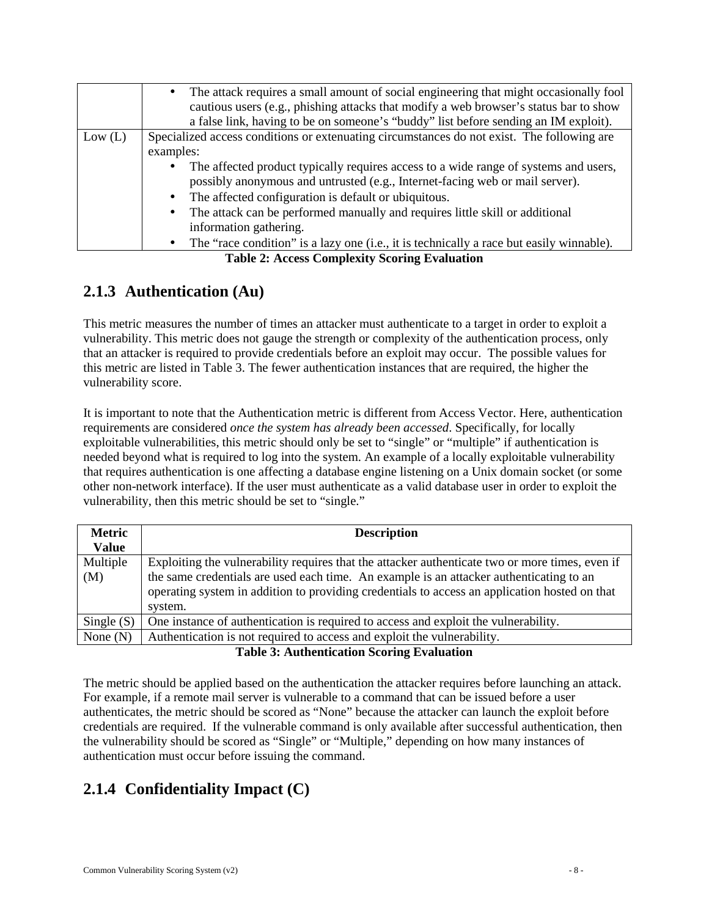|         | The attack requires a small amount of social engineering that might occasionally fool<br>$\bullet$<br>cautious users (e.g., phishing attacks that modify a web browser's status bar to show<br>a false link, having to be on someone's "buddy" list before sending an IM exploit). |
|---------|------------------------------------------------------------------------------------------------------------------------------------------------------------------------------------------------------------------------------------------------------------------------------------|
| Low (L) | Specialized access conditions or extenuating circumstances do not exist. The following are                                                                                                                                                                                         |
|         | examples:                                                                                                                                                                                                                                                                          |
|         | The affected product typically requires access to a wide range of systems and users,                                                                                                                                                                                               |
|         | possibly anonymous and untrusted (e.g., Internet-facing web or mail server).                                                                                                                                                                                                       |
|         | The affected configuration is default or ubiquitous.<br>$\bullet$                                                                                                                                                                                                                  |
|         | The attack can be performed manually and requires little skill or additional<br>$\bullet$                                                                                                                                                                                          |
|         | information gathering.                                                                                                                                                                                                                                                             |
|         | The "race condition" is a lazy one (i.e., it is technically a race but easily winnable).<br>$\bullet$                                                                                                                                                                              |
|         | <b>Table 2: Access Complexity Scoring Evaluation</b>                                                                                                                                                                                                                               |

#### **2.1.3 Authentication (Au)**

This metric measures the number of times an attacker must authenticate to a target in order to exploit a vulnerability. This metric does not gauge the strength or complexity of the authentication process, only that an attacker is required to provide credentials before an exploit may occur. The possible values for this metric are listed in Table 3. The fewer authentication instances that are required, the higher the vulnerability score.

It is important to note that the Authentication metric is different from Access Vector. Here, authentication requirements are considered *once the system has already been accessed*. Specifically, for locally exploitable vulnerabilities, this metric should only be set to "single" or "multiple" if authentication is needed beyond what is required to log into the system. An example of a locally exploitable vulnerability that requires authentication is one affecting a database engine listening on a Unix domain socket (or some other non-network interface). If the user must authenticate as a valid database user in order to exploit the vulnerability, then this metric should be set to "single."

| <b>Metric</b><br><b>Value</b> | <b>Description</b>                                                                              |
|-------------------------------|-------------------------------------------------------------------------------------------------|
| Multiple                      | Exploiting the vulnerability requires that the attacker authenticate two or more times, even if |
| (M)                           | the same credentials are used each time. An example is an attacker authenticating to an         |
|                               | operating system in addition to providing credentials to access an application hosted on that   |
|                               | system.                                                                                         |
| Single $(S)$                  | One instance of authentication is required to access and exploit the vulnerability.             |
| None $(N)$                    | Authentication is not required to access and exploit the vulnerability.                         |
|                               | .                                                                                               |

#### **Table 3: Authentication Scoring Evaluation**

The metric should be applied based on the authentication the attacker requires before launching an attack. For example, if a remote mail server is vulnerable to a command that can be issued before a user authenticates, the metric should be scored as "None" because the attacker can launch the exploit before credentials are required. If the vulnerable command is only available after successful authentication, then the vulnerability should be scored as "Single" or "Multiple," depending on how many instances of authentication must occur before issuing the command.

### **2.1.4 Confidentiality Impact (C)**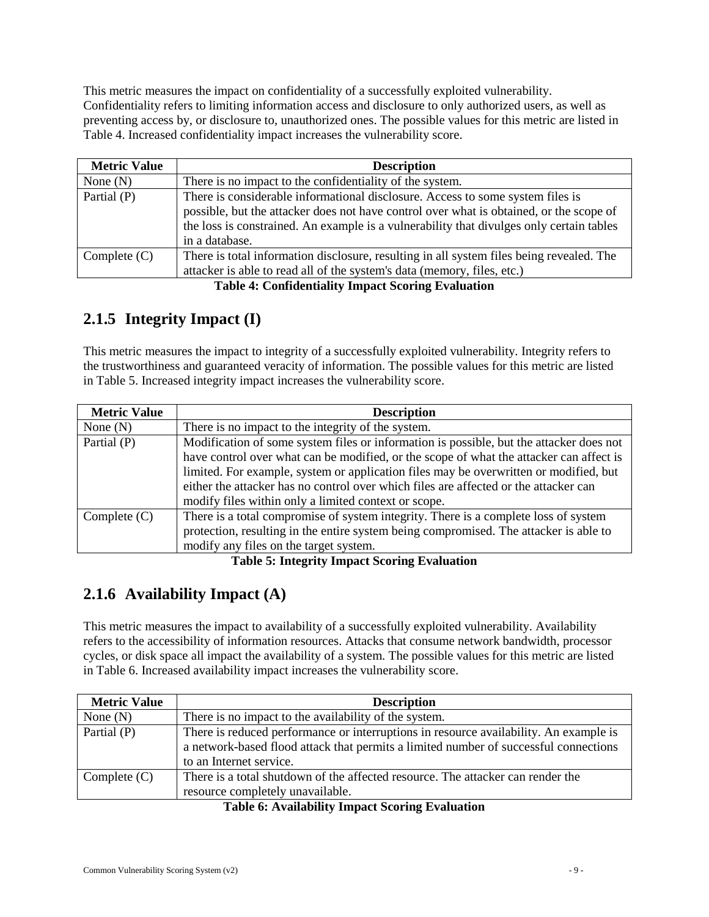This metric measures the impact on confidentiality of a successfully exploited vulnerability. Confidentiality refers to limiting information access and disclosure to only authorized users, as well as preventing access by, or disclosure to, unauthorized ones. The possible values for this metric are listed in Table 4. Increased confidentiality impact increases the vulnerability score.

| <b>Metric Value</b> | <b>Description</b>                                                                                                                                                                                                                                                                      |
|---------------------|-----------------------------------------------------------------------------------------------------------------------------------------------------------------------------------------------------------------------------------------------------------------------------------------|
| None $(N)$          | There is no impact to the confidentiality of the system.                                                                                                                                                                                                                                |
| Partial (P)         | There is considerable informational disclosure. Access to some system files is<br>possible, but the attacker does not have control over what is obtained, or the scope of<br>the loss is constrained. An example is a vulnerability that divulges only certain tables<br>in a database. |
| Complete $(C)$      | There is total information disclosure, resulting in all system files being revealed. The<br>attacker is able to read all of the system's data (memory, files, etc.)                                                                                                                     |

**Table 4: Confidentiality Impact Scoring Evaluation** 

### **2.1.5 Integrity Impact (I)**

This metric measures the impact to integrity of a successfully exploited vulnerability. Integrity refers to the trustworthiness and guaranteed veracity of information. The possible values for this metric are listed in Table 5. Increased integrity impact increases the vulnerability score.

| <b>Description</b>                                                                      |
|-----------------------------------------------------------------------------------------|
| There is no impact to the integrity of the system.                                      |
| Modification of some system files or information is possible, but the attacker does not |
| have control over what can be modified, or the scope of what the attacker can affect is |
| limited. For example, system or application files may be overwritten or modified, but   |
| either the attacker has no control over which files are affected or the attacker can    |
| modify files within only a limited context or scope.                                    |
| There is a total compromise of system integrity. There is a complete loss of system     |
| protection, resulting in the entire system being compromised. The attacker is able to   |
| modify any files on the target system.                                                  |
|                                                                                         |

#### **Table 5: Integrity Impact Scoring Evaluation**

#### **2.1.6 Availability Impact (A)**

This metric measures the impact to availability of a successfully exploited vulnerability. Availability refers to the accessibility of information resources. Attacks that consume network bandwidth, processor cycles, or disk space all impact the availability of a system. The possible values for this metric are listed in Table 6. Increased availability impact increases the vulnerability score.

| <b>Metric Value</b> | <b>Description</b>                                                                                                                                                                                       |
|---------------------|----------------------------------------------------------------------------------------------------------------------------------------------------------------------------------------------------------|
| None $(N)$          | There is no impact to the availability of the system.                                                                                                                                                    |
| Partial (P)         | There is reduced performance or interruptions in resource availability. An example is<br>a network-based flood attack that permits a limited number of successful connections<br>to an Internet service. |
| Complete $(C)$      | There is a total shutdown of the affected resource. The attacker can render the<br>resource completely unavailable.                                                                                      |

#### **Table 6: Availability Impact Scoring Evaluation**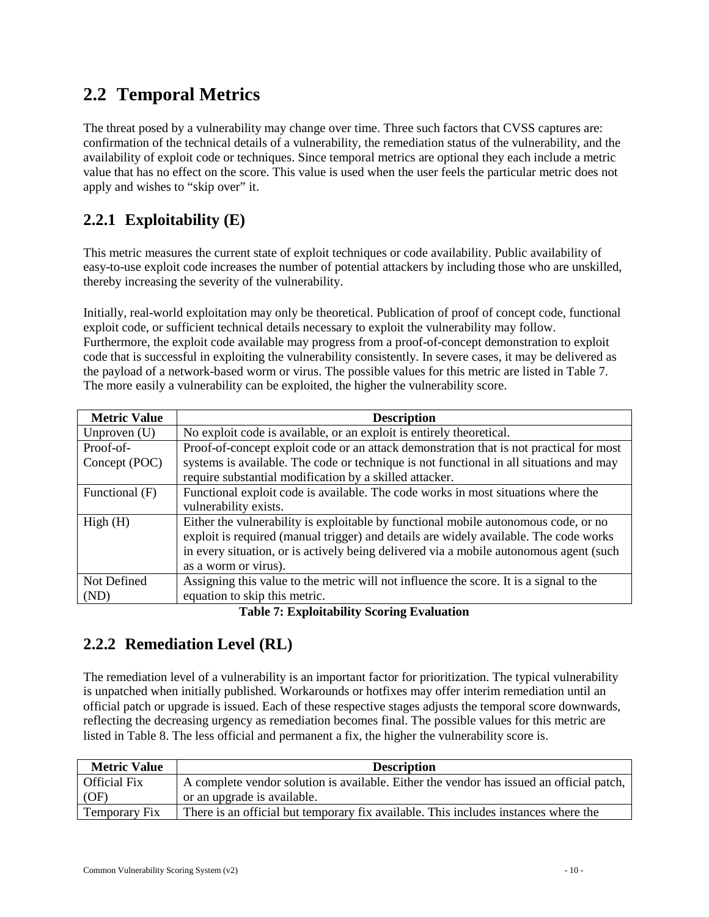# **2.2 Temporal Metrics**

The threat posed by a vulnerability may change over time. Three such factors that CVSS captures are: confirmation of the technical details of a vulnerability, the remediation status of the vulnerability, and the availability of exploit code or techniques. Since temporal metrics are optional they each include a metric value that has no effect on the score. This value is used when the user feels the particular metric does not apply and wishes to "skip over" it.

#### **2.2.1 Exploitability (E)**

This metric measures the current state of exploit techniques or code availability. Public availability of easy-to-use exploit code increases the number of potential attackers by including those who are unskilled, thereby increasing the severity of the vulnerability.

Initially, real-world exploitation may only be theoretical. Publication of proof of concept code, functional exploit code, or sufficient technical details necessary to exploit the vulnerability may follow. Furthermore, the exploit code available may progress from a proof-of-concept demonstration to exploit code that is successful in exploiting the vulnerability consistently. In severe cases, it may be delivered as the payload of a network-based worm or virus. The possible values for this metric are listed in Table 7. The more easily a vulnerability can be exploited, the higher the vulnerability score.

| <b>Description</b>                                                                      |
|-----------------------------------------------------------------------------------------|
| No exploit code is available, or an exploit is entirely theoretical.                    |
| Proof-of-concept exploit code or an attack demonstration that is not practical for most |
| systems is available. The code or technique is not functional in all situations and may |
| require substantial modification by a skilled attacker.                                 |
| Functional exploit code is available. The code works in most situations where the       |
| vulnerability exists.                                                                   |
| Either the vulnerability is exploitable by functional mobile autonomous code, or no     |
| exploit is required (manual trigger) and details are widely available. The code works   |
| in every situation, or is actively being delivered via a mobile autonomous agent (such  |
| as a worm or virus).                                                                    |
| Assigning this value to the metric will not influence the score. It is a signal to the  |
| equation to skip this metric.                                                           |
|                                                                                         |

#### **Table 7: Exploitability Scoring Evaluation**

#### **2.2.2 Remediation Level (RL)**

The remediation level of a vulnerability is an important factor for prioritization. The typical vulnerability is unpatched when initially published. Workarounds or hotfixes may offer interim remediation until an official patch or upgrade is issued. Each of these respective stages adjusts the temporal score downwards, reflecting the decreasing urgency as remediation becomes final. The possible values for this metric are listed in Table 8. The less official and permanent a fix, the higher the vulnerability score is.

| <b>Metric Value</b> | <b>Description</b>                                                                       |
|---------------------|------------------------------------------------------------------------------------------|
| <b>Official Fix</b> | A complete vendor solution is available. Either the vendor has issued an official patch, |
| (OF)                | or an upgrade is available.                                                              |
| Temporary Fix       | There is an official but temporary fix available. This includes instances where the      |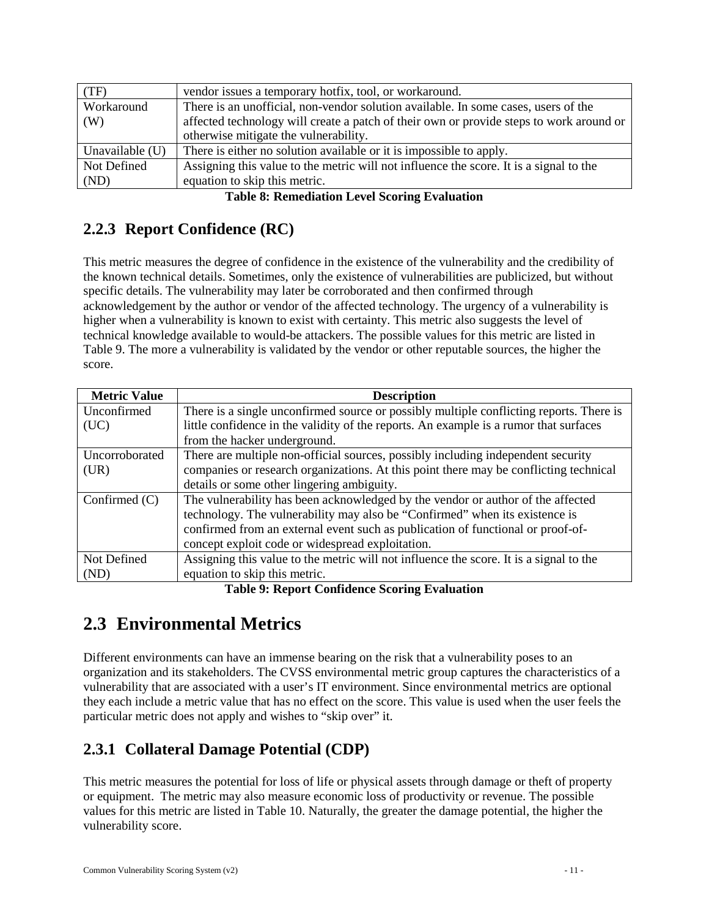| (TF)            | vendor issues a temporary hotfix, tool, or workaround.                                  |
|-----------------|-----------------------------------------------------------------------------------------|
| Workaround      | There is an unofficial, non-vendor solution available. In some cases, users of the      |
| (W)             | affected technology will create a patch of their own or provide steps to work around or |
|                 | otherwise mitigate the vulnerability.                                                   |
| Unavailable (U) | There is either no solution available or it is impossible to apply.                     |
| Not Defined     | Assigning this value to the metric will not influence the score. It is a signal to the  |
| (ND)            | equation to skip this metric.                                                           |

**Table 8: Remediation Level Scoring Evaluation** 

### **2.2.3 Report Confidence (RC)**

This metric measures the degree of confidence in the existence of the vulnerability and the credibility of the known technical details. Sometimes, only the existence of vulnerabilities are publicized, but without specific details. The vulnerability may later be corroborated and then confirmed through acknowledgement by the author or vendor of the affected technology. The urgency of a vulnerability is higher when a vulnerability is known to exist with certainty. This metric also suggests the level of technical knowledge available to would-be attackers. The possible values for this metric are listed in Table 9. The more a vulnerability is validated by the vendor or other reputable sources, the higher the score.

| <b>Metric Value</b> | <b>Description</b>                                                                      |
|---------------------|-----------------------------------------------------------------------------------------|
| Unconfirmed         | There is a single unconfirmed source or possibly multiple conflicting reports. There is |
| (UC)                | little confidence in the validity of the reports. An example is a rumor that surfaces   |
|                     | from the hacker underground.                                                            |
| Uncorroborated      | There are multiple non-official sources, possibly including independent security        |
| (UR)                | companies or research organizations. At this point there may be conflicting technical   |
|                     | details or some other lingering ambiguity.                                              |
| Confirmed $(C)$     | The vulnerability has been acknowledged by the vendor or author of the affected         |
|                     | technology. The vulnerability may also be "Confirmed" when its existence is             |
|                     | confirmed from an external event such as publication of functional or proof-of-         |
|                     | concept exploit code or widespread exploitation.                                        |
| Not Defined         | Assigning this value to the metric will not influence the score. It is a signal to the  |
| (ND)                | equation to skip this metric.                                                           |

**Table 9: Report Confidence Scoring Evaluation** 

# **2.3 Environmental Metrics**

Different environments can have an immense bearing on the risk that a vulnerability poses to an organization and its stakeholders. The CVSS environmental metric group captures the characteristics of a vulnerability that are associated with a user's IT environment. Since environmental metrics are optional they each include a metric value that has no effect on the score. This value is used when the user feels the particular metric does not apply and wishes to "skip over" it.

### **2.3.1 Collateral Damage Potential (CDP)**

This metric measures the potential for loss of life or physical assets through damage or theft of property or equipment. The metric may also measure economic loss of productivity or revenue. The possible values for this metric are listed in Table 10. Naturally, the greater the damage potential, the higher the vulnerability score.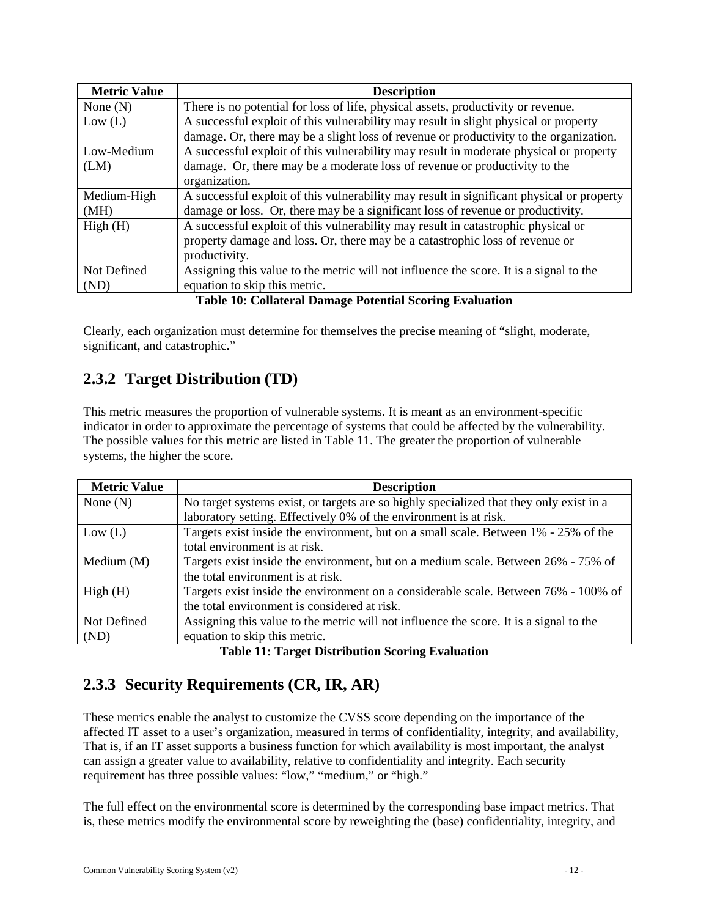| <b>Metric Value</b>                                      | <b>Description</b>                                                                        |  |
|----------------------------------------------------------|-------------------------------------------------------------------------------------------|--|
| None $(N)$                                               | There is no potential for loss of life, physical assets, productivity or revenue.         |  |
| Low (L)                                                  | A successful exploit of this vulnerability may result in slight physical or property      |  |
|                                                          | damage. Or, there may be a slight loss of revenue or productivity to the organization.    |  |
| Low-Medium                                               | A successful exploit of this vulnerability may result in moderate physical or property    |  |
| (LM)                                                     | damage. Or, there may be a moderate loss of revenue or productivity to the                |  |
|                                                          | organization.                                                                             |  |
| Medium-High                                              | A successful exploit of this vulnerability may result in significant physical or property |  |
| (MH)                                                     | damage or loss. Or, there may be a significant loss of revenue or productivity.           |  |
| High(H)                                                  | A successful exploit of this vulnerability may result in catastrophic physical or         |  |
|                                                          | property damage and loss. Or, there may be a catastrophic loss of revenue or              |  |
|                                                          | productivity.                                                                             |  |
| Not Defined                                              | Assigning this value to the metric will not influence the score. It is a signal to the    |  |
| (ND)                                                     | equation to skip this metric.                                                             |  |
| Table 10: Collateral Damage Potential Scoring Evaluation |                                                                                           |  |

**Table 10: Collateral Damage Potential Scoring Evaluation** 

Clearly, each organization must determine for themselves the precise meaning of "slight, moderate, significant, and catastrophic."

### **2.3.2 Target Distribution (TD)**

This metric measures the proportion of vulnerable systems. It is meant as an environment-specific indicator in order to approximate the percentage of systems that could be affected by the vulnerability. The possible values for this metric are listed in Table 11. The greater the proportion of vulnerable systems, the higher the score.

| <b>Metric Value</b> | <b>Description</b>                                                                      |
|---------------------|-----------------------------------------------------------------------------------------|
| None $(N)$          | No target systems exist, or targets are so highly specialized that they only exist in a |
|                     | laboratory setting. Effectively 0% of the environment is at risk.                       |
| Low (L)             | Targets exist inside the environment, but on a small scale. Between 1% - 25% of the     |
|                     | total environment is at risk.                                                           |
| Medium $(M)$        | Targets exist inside the environment, but on a medium scale. Between 26% - 75% of       |
|                     | the total environment is at risk.                                                       |
| High(H)             | Targets exist inside the environment on a considerable scale. Between 76% - 100% of     |
|                     | the total environment is considered at risk.                                            |
| Not Defined         | Assigning this value to the metric will not influence the score. It is a signal to the  |
| (ND)                | equation to skip this metric.                                                           |

**Table 11: Target Distribution Scoring Evaluation** 

#### **2.3.3 Security Requirements (CR, IR, AR)**

These metrics enable the analyst to customize the CVSS score depending on the importance of the affected IT asset to a user's organization, measured in terms of confidentiality, integrity, and availability, That is, if an IT asset supports a business function for which availability is most important, the analyst can assign a greater value to availability, relative to confidentiality and integrity. Each security requirement has three possible values: "low," "medium," or "high."

The full effect on the environmental score is determined by the corresponding base impact metrics. That is, these metrics modify the environmental score by reweighting the (base) confidentiality, integrity, and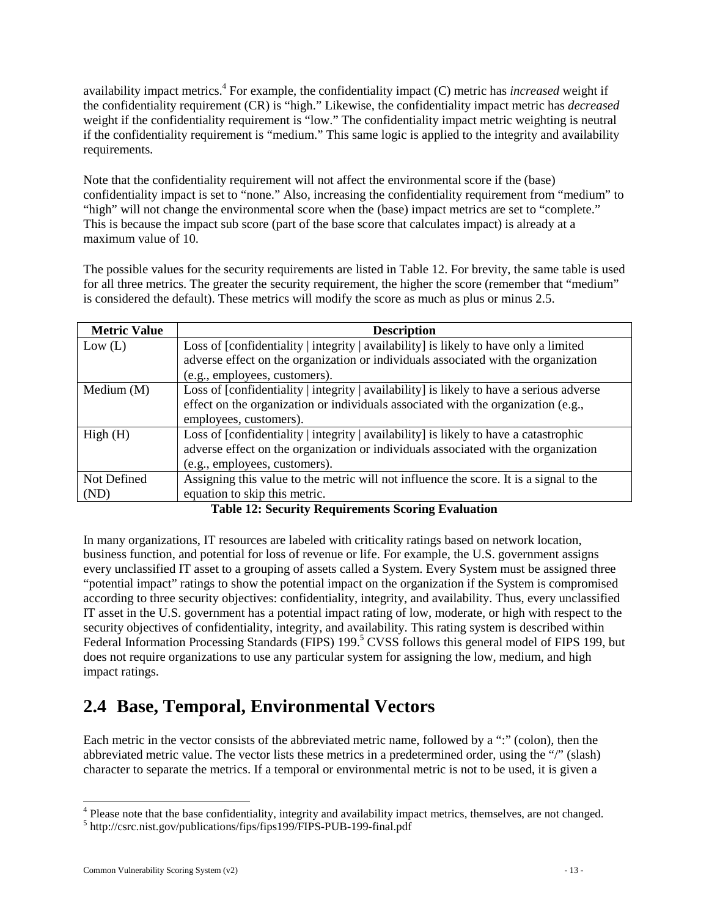availability impact metrics.<sup>4</sup> For example, the confidentiality impact (C) metric has *increased* weight if the confidentiality requirement (CR) is "high." Likewise, the confidentiality impact metric has *decreased* weight if the confidentiality requirement is "low." The confidentiality impact metric weighting is neutral if the confidentiality requirement is "medium." This same logic is applied to the integrity and availability requirements.

Note that the confidentiality requirement will not affect the environmental score if the (base) confidentiality impact is set to "none." Also, increasing the confidentiality requirement from "medium" to "high" will not change the environmental score when the (base) impact metrics are set to "complete." This is because the impact sub score (part of the base score that calculates impact) is already at a maximum value of 10.

The possible values for the security requirements are listed in Table 12. For brevity, the same table is used for all three metrics. The greater the security requirement, the higher the score (remember that "medium" is considered the default). These metrics will modify the score as much as plus or minus 2.5.

| <b>Metric Value</b> | <b>Description</b>                                                                       |
|---------------------|------------------------------------------------------------------------------------------|
| Low (L)             | Loss of [confidentiality   integrity   availability] is likely to have only a limited    |
|                     | adverse effect on the organization or individuals associated with the organization       |
|                     | (e.g., employees, customers).                                                            |
| Medium $(M)$        | Loss of [confidentiality   integrity   availability] is likely to have a serious adverse |
|                     | effect on the organization or individuals associated with the organization (e.g.,        |
|                     | employees, customers).                                                                   |
| High(H)             | Loss of [confidentiality   integrity   availability] is likely to have a catastrophic    |
|                     | adverse effect on the organization or individuals associated with the organization       |
|                     | (e.g., employees, customers).                                                            |
| Not Defined         | Assigning this value to the metric will not influence the score. It is a signal to the   |
| (ND)                | equation to skip this metric.                                                            |

#### **Table 12: Security Requirements Scoring Evaluation**

In many organizations, IT resources are labeled with criticality ratings based on network location, business function, and potential for loss of revenue or life. For example, the U.S. government assigns every unclassified IT asset to a grouping of assets called a System. Every System must be assigned three "potential impact" ratings to show the potential impact on the organization if the System is compromised according to three security objectives: confidentiality, integrity, and availability. Thus, every unclassified IT asset in the U.S. government has a potential impact rating of low, moderate, or high with respect to the security objectives of confidentiality, integrity, and availability. This rating system is described within Federal Information Processing Standards (FIPS) 199.<sup>5</sup> CVSS follows this general model of FIPS 199, but does not require organizations to use any particular system for assigning the low, medium, and high impact ratings.

# **2.4 Base, Temporal, Environmental Vectors**

Each metric in the vector consists of the abbreviated metric name, followed by a ":" (colon), then the abbreviated metric value. The vector lists these metrics in a predetermined order, using the "/" (slash) character to separate the metrics. If a temporal or environmental metric is not to be used, it is given a

The all that the base confidentiality, integrity and availability impact metrics, themselves, are not changed.

<sup>5</sup> http://csrc.nist.gov/publications/fips/fips199/FIPS-PUB-199-final.pdf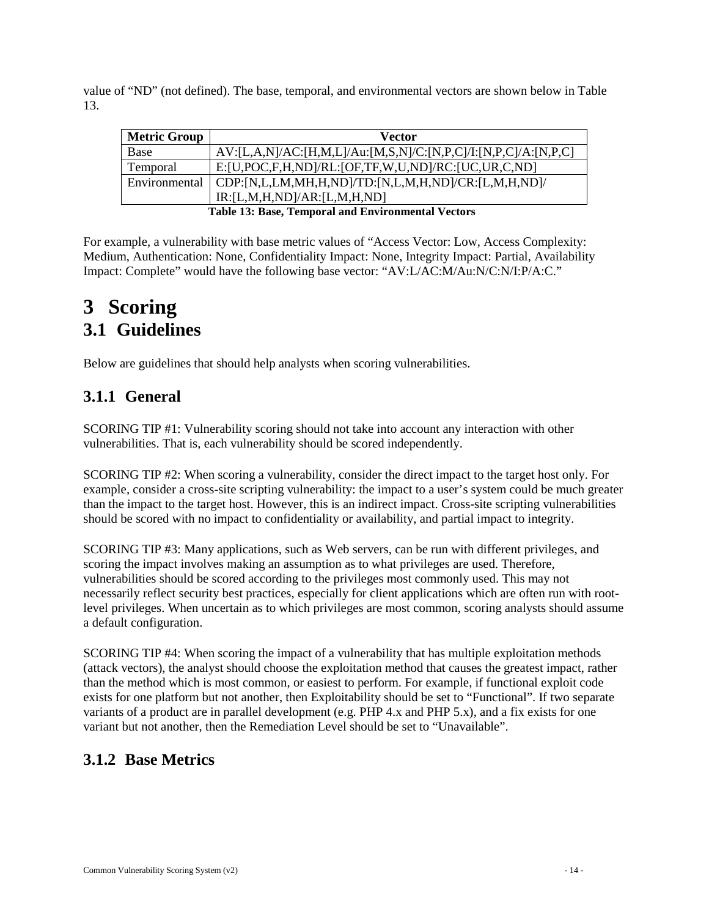value of "ND" (not defined). The base, temporal, and environmental vectors are shown below in Table 13.

| <b>Metric Group</b>                                       | Vector                                                              |  |
|-----------------------------------------------------------|---------------------------------------------------------------------|--|
| Base                                                      | $AV:[L,A,N]/AC:[H,M,L]/Au:[M,S,N]/C:[N,P,C]/I:[N,P,C]/A:[N,P,C]$    |  |
| Temporal                                                  | E:[U,POC,F,H,ND]/RL:[OF,TF,W,U,ND]/RC:[UC,UR,C,ND]                  |  |
|                                                           | Environmental   CDP:[N,L,LM,MH,H,ND]/TD:[N,L,M,H,ND]/CR:[L,M,H,ND]/ |  |
|                                                           | IR:[L,M,H,ND]/AR:[L,M,H,ND]                                         |  |
| <b>Table 13: Base, Temporal and Environmental Vectors</b> |                                                                     |  |

For example, a vulnerability with base metric values of "Access Vector: Low, Access Complexity: Medium, Authentication: None, Confidentiality Impact: None, Integrity Impact: Partial, Availability Impact: Complete" would have the following base vector: "AV:L/AC:M/Au:N/C:N/I:P/A:C."

# **3 Scoring 3.1 Guidelines**

Below are guidelines that should help analysts when scoring vulnerabilities.

### **3.1.1 General**

SCORING TIP #1: Vulnerability scoring should not take into account any interaction with other vulnerabilities. That is, each vulnerability should be scored independently.

SCORING TIP #2: When scoring a vulnerability, consider the direct impact to the target host only. For example, consider a cross-site scripting vulnerability: the impact to a user's system could be much greater than the impact to the target host. However, this is an indirect impact. Cross-site scripting vulnerabilities should be scored with no impact to confidentiality or availability, and partial impact to integrity.

SCORING TIP #3: Many applications, such as Web servers, can be run with different privileges, and scoring the impact involves making an assumption as to what privileges are used. Therefore, vulnerabilities should be scored according to the privileges most commonly used. This may not necessarily reflect security best practices, especially for client applications which are often run with rootlevel privileges. When uncertain as to which privileges are most common, scoring analysts should assume a default configuration.

SCORING TIP #4: When scoring the impact of a vulnerability that has multiple exploitation methods (attack vectors), the analyst should choose the exploitation method that causes the greatest impact, rather than the method which is most common, or easiest to perform. For example, if functional exploit code exists for one platform but not another, then Exploitability should be set to "Functional". If two separate variants of a product are in parallel development (e.g. PHP 4.x and PHP 5.x), and a fix exists for one variant but not another, then the Remediation Level should be set to "Unavailable".

#### **3.1.2 Base Metrics**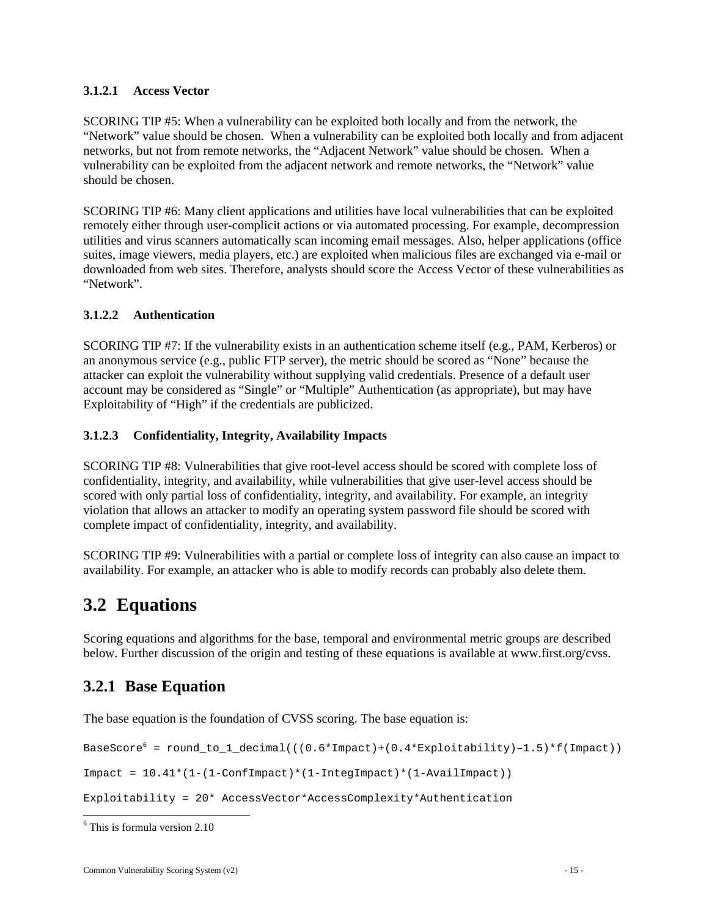#### **3.1.2.1 Access Vector**

SCORING TIP #5: When a vulnerability can be exploited both locally and from the network, the "Network" value should be chosen. When a vulnerability can be exploited both locally and from adjacent networks, but not from remote networks, the "Adjacent Network" value should be chosen. When a vulnerability can be exploited from the adjacent network and remote networks, the "Network" value should be chosen.

SCORING TIP #6: Many client applications and utilities have local vulnerabilities that can be exploited remotely either through user-complicit actions or via automated processing. For example, decompression utilities and virus scanners automatically scan incoming email messages. Also, helper applications (office suites, image viewers, media players, etc.) are exploited when malicious files are exchanged via e-mail or downloaded from web sites. Therefore, analysts should score the Access Vector of these vulnerabilities as "Network".

#### **3.1.2.2 Authentication**

SCORING TIP #7: If the vulnerability exists in an authentication scheme itself (e.g., PAM, Kerberos) or an anonymous service (e.g., public FTP server), the metric should be scored as "None" because the attacker can exploit the vulnerability without supplying valid credentials. Presence of a default user account may be considered as "Single" or "Multiple" Authentication (as appropriate), but may have Exploitability of "High" if the credentials are publicized.

#### **3.1.2.3 Confidentiality, Integrity, Availability Impacts**

SCORING TIP #8: Vulnerabilities that give root-level access should be scored with complete loss of confidentiality, integrity, and availability, while vulnerabilities that give user-level access should be scored with only partial loss of confidentiality, integrity, and availability. For example, an integrity violation that allows an attacker to modify an operating system password file should be scored with complete impact of confidentiality, integrity, and availability.

SCORING TIP #9: Vulnerabilities with a partial or complete loss of integrity can also cause an impact to availability. For example, an attacker who is able to modify records can probably also delete them.

# **3.2 Equations**

Scoring equations and algorithms for the base, temporal and environmental metric groups are described below. Further discussion of the origin and testing of these equations is available at www.first.org/cvss.

#### **3.2.1 Base Equation**

The base equation is the foundation of CVSS scoring. The base equation is:

BaseScore<sup>6</sup> = round to 1 decimal(((0.6\*Impact)+(0.4\*Exploitability)–1.5)\*f(Impact))

 $Import = 10.41*(1-(1-ConfImport)*(1-IntegImport)*(1-AvailImport))$ 

Exploitability = 20\* AccessVector\*AccessComplexity\*Authentication

<u>.</u>

<sup>6</sup> This is formula version 2.10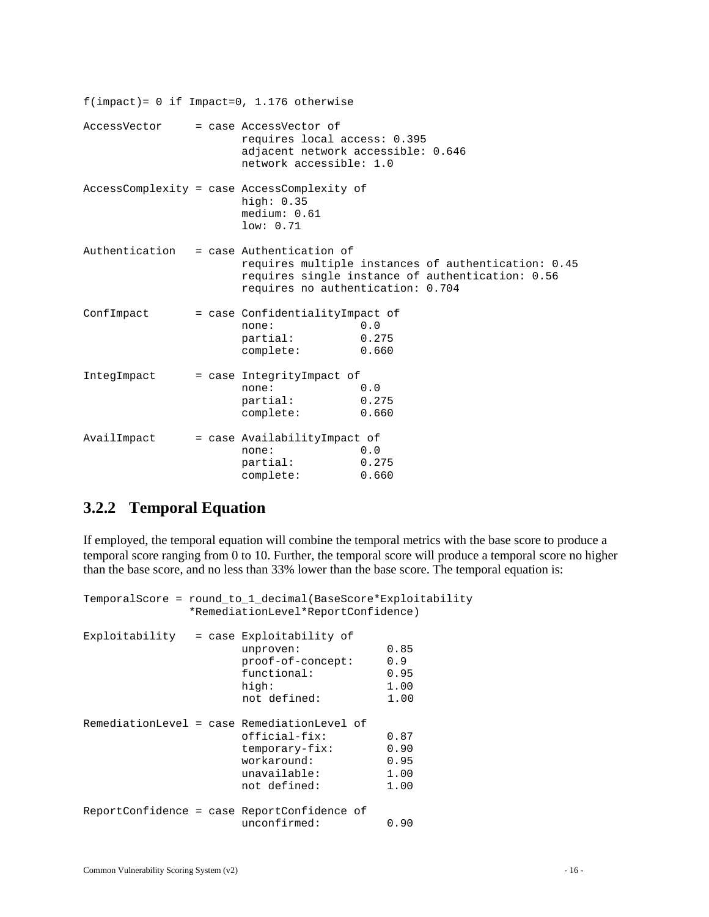```
f(impact)= 0 if Impact=0, 1.176 otherwise 
AccessVector = case AccessVector of 
                       requires local access: 0.395 
                       adjacent network accessible: 0.646 
                       network accessible: 1.0 
AccessComplexity = case AccessComplexity of 
                       high: 0.35 
                       medium: 0.61 
                       low: 0.71 
Authentication = case Authentication of 
                       requires multiple instances of authentication: 0.45 
                       requires single instance of authentication: 0.56 
                       requires no authentication: 0.704 
ConfImpact = case ConfidentialityImpact of
                      none: 0.0 
                       partial: 0.275 
                       complete: 0.660 
IntegImpact = case IntegrityImpact of
                     none: 0.0<br>partial: 0.275
                      partial:
                       complete: 0.660 
AvailImpact = case AvailabilityImpact of
none: 0.0
                       partial: 0.275 
                       complete: 0.660
```
#### **3.2.2 Temporal Equation**

If employed, the temporal equation will combine the temporal metrics with the base score to produce a temporal score ranging from 0 to 10. Further, the temporal score will produce a temporal score no higher than the base score, and no less than 33% lower than the base score. The temporal equation is:

```
TemporalScore = round_to_1_decimal(BaseScore*Exploitability 
               *RemediationLevel*ReportConfidence)
Exploitability = case Exploitability of 
                     unproven: 0.85<br>proof-of-concept: 0.9
                      proof-of-concept: 0.9 
                      functional: 0.95 
 high: 1.00 
                      not defined: 1.00 
RemediationLevel = case RemediationLevel of 
                      official-fix: 0.87 
                      temporary-fix: 0.90 
                      workaround: 0.95 
                     unavailable: 1.00
                     not defined: 1.00 
ReportConfidence = case ReportConfidence of 
                      unconfirmed: 0.90
```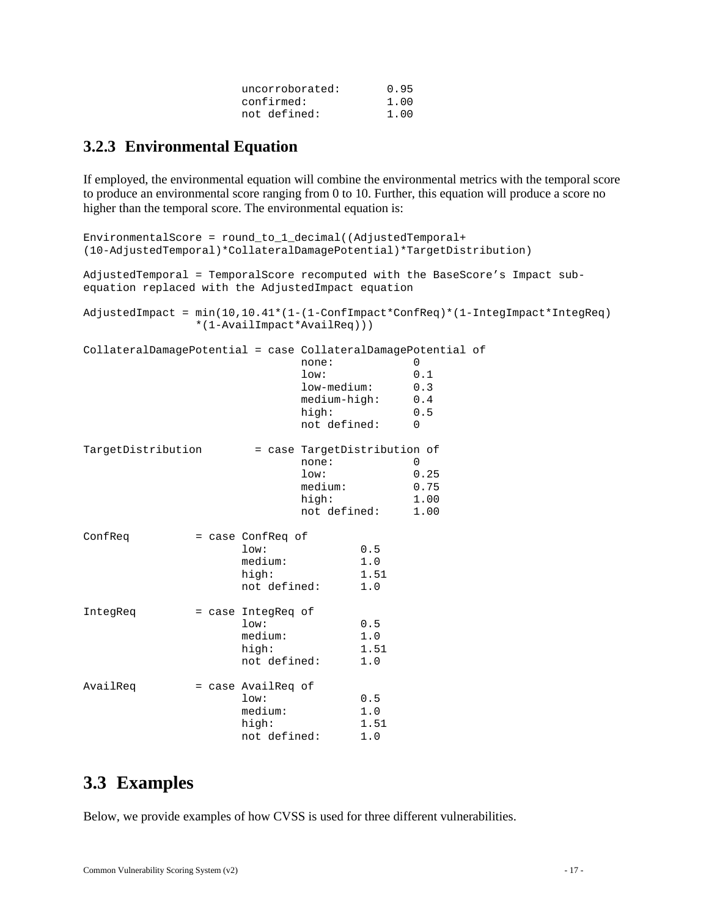| uncorroborated: | 0.95 |
|-----------------|------|
| confirmed:      | 1.00 |
| not defined:    | 1.00 |

#### **3.2.3 Environmental Equation**

If employed, the environmental equation will combine the environmental metrics with the temporal score to produce an environmental score ranging from 0 to 10. Further, this equation will produce a score no higher than the temporal score. The environmental equation is:

```
EnvironmentalScore = round_to_1_decimal((AdjustedTemporal+ 
(10-AdjustedTemporal)*CollateralDamagePotential)*TargetDistribution) 
AdjustedTemporal = TemporalScore recomputed with the BaseScore's Impact sub-
equation replaced with the AdjustedImpact equation 
AdjustedImpact = min(10,10.41*(1-(1-ConfImpact*ConfReq)*(1-IntegImpact*IntegReq) 
            *(1-AvailImpact*AvailReq))) 
CollateralDamagePotential = case CollateralDamagePotential of 
 none: 0
 low: 0.1 
                      low-medium: 0.3<br>medium-high: 0.4
                       medium-high: 0.4 
 high: 0.5 
                       not defined: 0
TargetDistribution = case TargetDistribution of 
 none: 0
 low: 0.25 
                       medium: 0.75 
 high: 1.00 
                      not defined: 1.00 
ConfReq = case ConfReq of
 low: 0.5 
                 medium: 1.0 
                 high: 1.51 
                 not defined: 1.0 
IntegReq = case IntegReq of
 low: 0.5 
                 medium: 1.0 
 high: 1.51 
                not defined: 1.0 
AvailReq = case AvailReq of
 low: 0.5 
                 medium: 1.0 
                high: 1.51 
                 not defined: 1.0
```
### **3.3 Examples**

Below, we provide examples of how CVSS is used for three different vulnerabilities.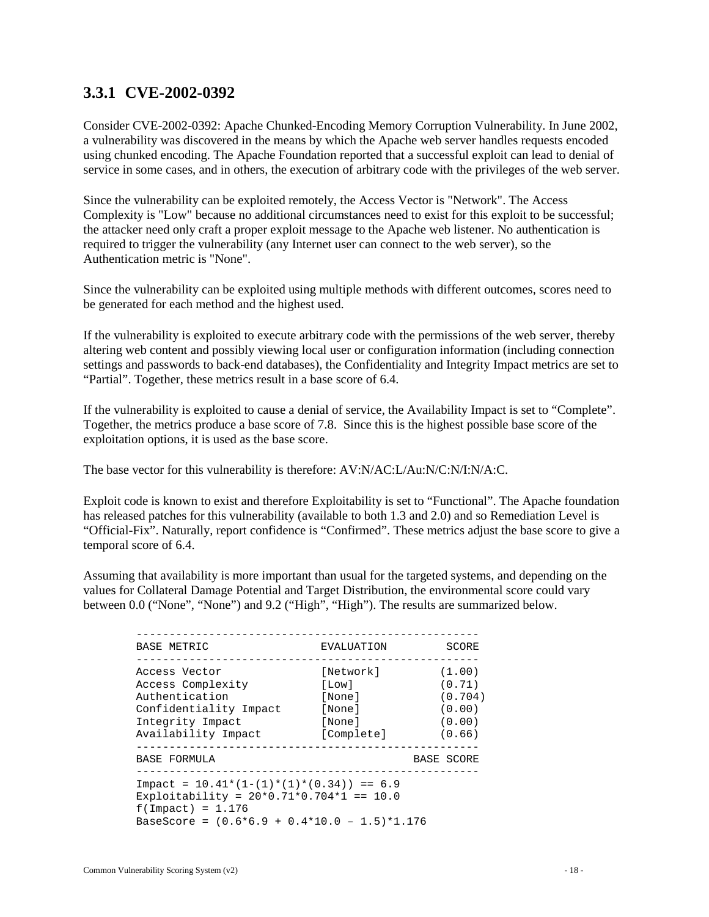#### **3.3.1 CVE-2002-0392**

Consider CVE-2002-0392: Apache Chunked-Encoding Memory Corruption Vulnerability. In June 2002, a vulnerability was discovered in the means by which the Apache web server handles requests encoded using chunked encoding. The Apache Foundation reported that a successful exploit can lead to denial of service in some cases, and in others, the execution of arbitrary code with the privileges of the web server.

Since the vulnerability can be exploited remotely, the Access Vector is "Network". The Access Complexity is "Low" because no additional circumstances need to exist for this exploit to be successful; the attacker need only craft a proper exploit message to the Apache web listener. No authentication is required to trigger the vulnerability (any Internet user can connect to the web server), so the Authentication metric is "None".

Since the vulnerability can be exploited using multiple methods with different outcomes, scores need to be generated for each method and the highest used.

If the vulnerability is exploited to execute arbitrary code with the permissions of the web server, thereby altering web content and possibly viewing local user or configuration information (including connection settings and passwords to back-end databases), the Confidentiality and Integrity Impact metrics are set to "Partial". Together, these metrics result in a base score of 6.4.

If the vulnerability is exploited to cause a denial of service, the Availability Impact is set to "Complete". Together, the metrics produce a base score of 7.8. Since this is the highest possible base score of the exploitation options, it is used as the base score.

The base vector for this vulnerability is therefore: AV:N/AC:L/Au:N/C:N/I:N/A:C.

Exploit code is known to exist and therefore Exploitability is set to "Functional". The Apache foundation has released patches for this vulnerability (available to both 1.3 and 2.0) and so Remediation Level is "Official-Fix". Naturally, report confidence is "Confirmed". These metrics adjust the base score to give a temporal score of 6.4.

Assuming that availability is more important than usual for the targeted systems, and depending on the values for Collateral Damage Potential and Target Distribution, the environmental score could vary between 0.0 ("None", "None") and 9.2 ("High", "High"). The results are summarized below.

| BASE METRIC                                                                                                               | SCORE<br>EVALUATION                                                                                                                        |  |
|---------------------------------------------------------------------------------------------------------------------------|--------------------------------------------------------------------------------------------------------------------------------------------|--|
| Access Vector<br>Access Complexity<br>Authentication<br>Confidentiality Impact<br>Integrity Impact<br>Availability Impact | [Network]<br>(1.00)<br>(0.71)<br>[Low]<br>[None]<br>(0.704)<br>[None]<br>(0.00)<br>[None]<br>(0.00)<br>(0.66)<br>[Complete]                |  |
| BASE FORMULA                                                                                                              | BASE SCORE                                                                                                                                 |  |
| $f(Impack) = 1.176$                                                                                                       | Impact = $10.41*(1-(1)*(1)*(0.34)) == 6.9$<br>Exploitability = $20*0.71*0.704*1$ == 10.0<br>BaseScore = $(0.6*6.9 + 0.4*10.0 - 1.5)*1.176$ |  |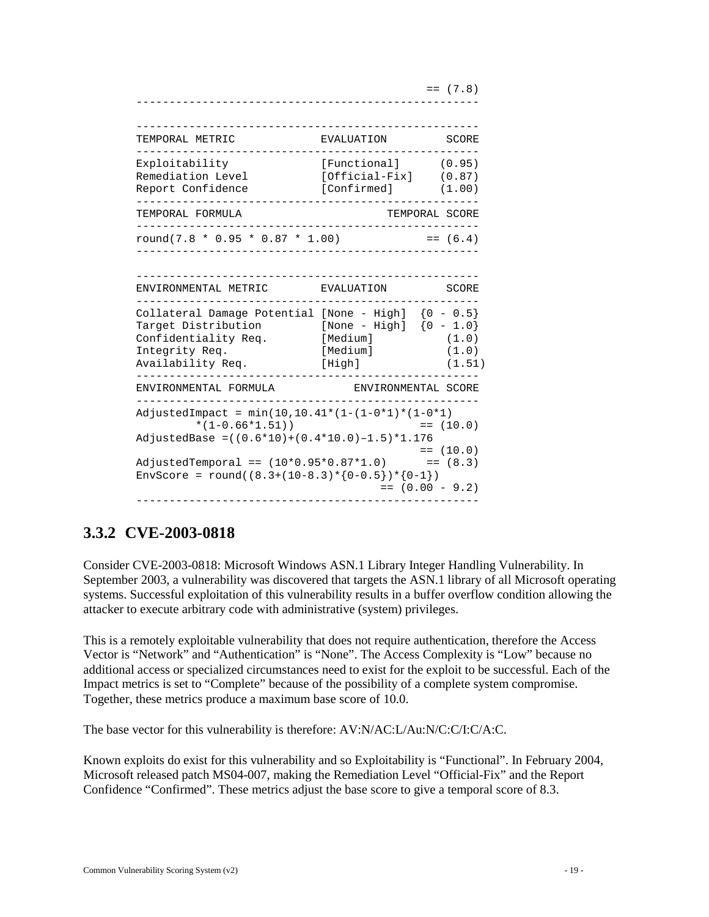| TEMPORAL METRIC                                                                                           | EVALUATION<br>____________________ | SCORE          |
|-----------------------------------------------------------------------------------------------------------|------------------------------------|----------------|
| Exploitability                                                                                            | $[Functional]$ $(0.95)$            |                |
| Remediation Level                                                                                         | $[Official-Fix]$ $(0.87)$          |                |
| Report Confidence                                                                                         | $[Confirmed]$ $(1.00)$             |                |
| TEMPORAL FORMULA                                                                                          | ________________________________   | TEMPORAL SCORE |
| ------------------<br>$round(7.8 * 0.95 * 0.87 * 1.00)$                                                   |                                    | $= 6.4$        |
|                                                                                                           |                                    |                |
| ENVIRONMENTAL METRIC EVALUATION SCORE                                                                     |                                    |                |
| Collateral Damage Potential [None - High] {0 - 0.5}                                                       |                                    |                |
| Target Distribution $[None - High]$ $\{0 - 1.0\}$                                                         |                                    |                |
| Confidentiality Req.                                                                                      | $[Median]$ $(1.0)$                 |                |
| Integrity Req.                                                                                            | [Medium]                           | (1.0)          |
| Availability Req.                                                                                         | [High]                             | (1.51)         |
| ENVIRONMENTAL FORMULA                                                                                     | ENVIRONMENTAL SCORE                |                |
| AdjustedImpact = $min(10, 10.41*(1-(1-0*1)*(1-0*1))$                                                      |                                    |                |
|                                                                                                           |                                    | $=$ (10.0)     |
| $*(1 - 0.66 * 1.51))$                                                                                     |                                    |                |
| AdjustedBase = $((0.6*10)+(0.4*10.0)-1.5)*1.176$                                                          |                                    |                |
|                                                                                                           |                                    | $=$ (10.0)     |
| AdjustedTemporal == $(10*0.95*0.87*1.0)$ == $(8.3)$<br>EnvScore = round( $(8.3+(10-8.3)*{0-0.5})*(0-1)$ ) |                                    |                |

 $=$  (7.8)

#### **3.3.2 CVE-2003-0818**

Consider CVE-2003-0818: Microsoft Windows ASN.1 Library Integer Handling Vulnerability. In September 2003, a vulnerability was discovered that targets the ASN.1 library of all Microsoft operating systems. Successful exploitation of this vulnerability results in a buffer overflow condition allowing the attacker to execute arbitrary code with administrative (system) privileges.

This is a remotely exploitable vulnerability that does not require authentication, therefore the Access Vector is "Network" and "Authentication" is "None". The Access Complexity is "Low" because no additional access or specialized circumstances need to exist for the exploit to be successful. Each of the Impact metrics is set to "Complete" because of the possibility of a complete system compromise. Together, these metrics produce a maximum base score of 10.0.

The base vector for this vulnerability is therefore: AV:N/AC:L/Au:N/C:C/I:C/A:C.

Known exploits do exist for this vulnerability and so Exploitability is "Functional". In February 2004, Microsoft released patch MS04-007, making the Remediation Level "Official-Fix" and the Report Confidence "Confirmed". These metrics adjust the base score to give a temporal score of 8.3.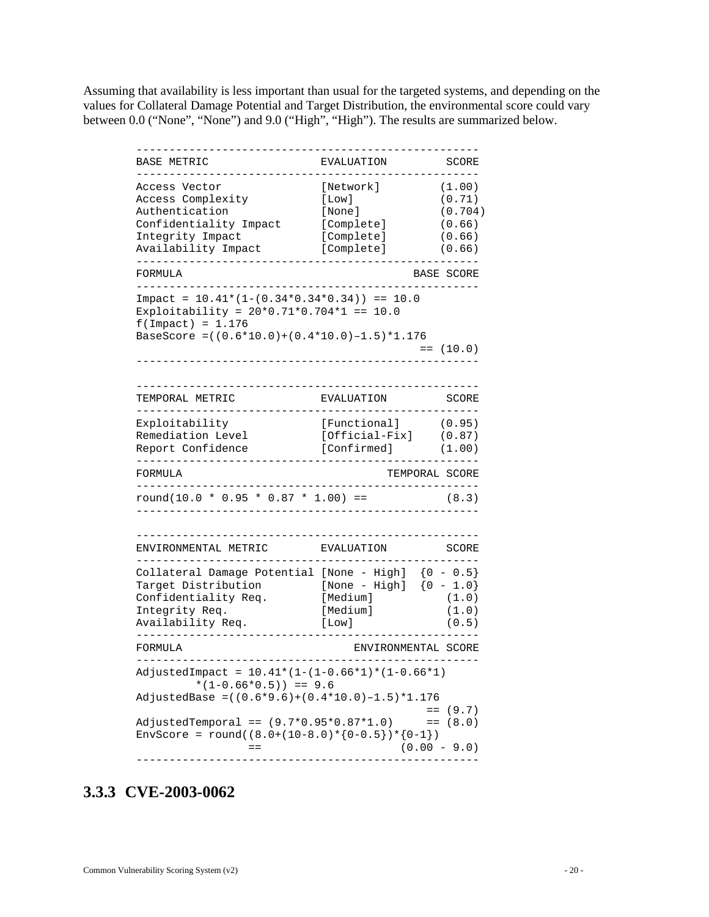Assuming that availability is less important than usual for the targeted systems, and depending on the values for Collateral Damage Potential and Target Distribution, the environmental score could vary between 0.0 ("None", "None") and 9.0 ("High", "High"). The results are summarized below.

| <b>BASE METRIC</b>                                                                              | EVALUATION                  | SCORE                   |
|-------------------------------------------------------------------------------------------------|-----------------------------|-------------------------|
| Access Vector                                                                                   | [Network]                   | (1.00)                  |
| Access Complexity                                                                               | [Low]                       | (0.71)                  |
| Authentication                                                                                  | [None]                      | (0.704)                 |
| Confidentiality Impact                                                                          | [Complete]                  | (0.66)                  |
| Integrity Impact                                                                                | [Complete]                  | (0.66)                  |
| Availability Impact                                                                             | [Complete]                  | (0.66)                  |
|                                                                                                 |                             |                         |
| FORMULA                                                                                         |                             | BASE SCORE              |
| $Impact = 10.41*(1-(0.34*0.34*0.34)) == 10.0$<br>Exploitability = $20*0.71*0.704*1 == 10.0$     |                             |                         |
| $f(Impack) = 1.176$<br>BaseScore = $((0.6*10.0)+(0.4*10.0)-1.5)*1.176$                          |                             |                         |
|                                                                                                 |                             | $=$ (10.0)              |
|                                                                                                 |                             |                         |
| TEMPORAL METRIC                                                                                 | EVALUATION                  | SCORE                   |
| Exploitability                                                                                  | [Functional]                | (0.95)                  |
| Remediation Level                                                                               | $[Official-Fix]$ $(0.87)$   |                         |
| Report Confidence                                                                               | [Confirmed]                 | (1.00)                  |
|                                                                                                 |                             |                         |
| FORMULA                                                                                         |                             | TEMPORAL SCORE          |
|                                                                                                 |                             |                         |
| round(10.0 * 0.95 * 0.87 * 1.00) ==                                                             |                             |                         |
|                                                                                                 |                             |                         |
| ENVIRONMENTAL METRIC                                                                            | EVALUATION                  | (8.3)<br>SCORE          |
|                                                                                                 |                             |                         |
| Collateral Damage Potential [None - High] {0 - 0.5}                                             |                             |                         |
| Target Distribution                                                                             | [None - High] $\{0 - 1.0\}$ |                         |
| Confidentiality Req.                                                                            | [Medium]                    |                         |
| Integrity Req.                                                                                  | [Medium]                    |                         |
| Availability Req.                                                                               | [Low]                       | (1.0)<br>(1.0)<br>(0.5) |
| FORMULA                                                                                         | ENVIRONMENTAL SCORE         |                         |
| AdjustedImpact = $10.41*(1-(1-0.66*1)*(1-0.66*1)$                                               |                             |                         |
| $*(1-0.66*0.5)) == 9.6$                                                                         |                             |                         |
| AdjustedBase = ( $(0.6*9.6)+(0.4*10.0)-1.5)*1.176$                                              |                             | $=$ (9.7)               |
|                                                                                                 |                             |                         |
| AdjustedTemporal == $(9.7*0.95*0.87*1.0)$<br>EnvScore = round( $(8.0+(10-8.0)*(0-0.5)*{0-1})$ ) |                             | $= 8.0$                 |

#### **3.3.3 CVE-2003-0062**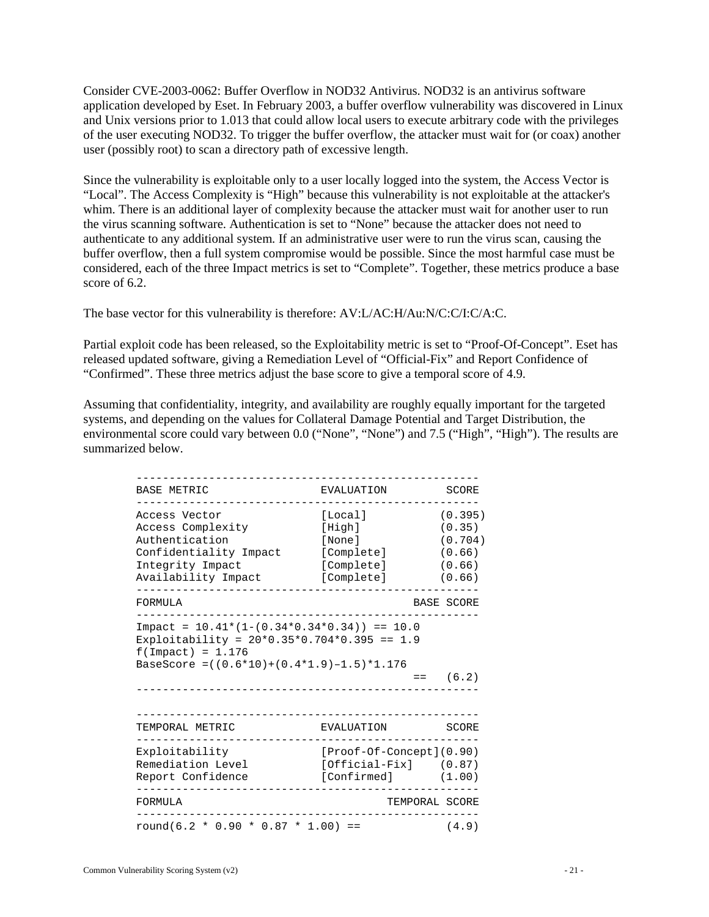Consider CVE-2003-0062: Buffer Overflow in NOD32 Antivirus. NOD32 is an antivirus software application developed by Eset. In February 2003, a buffer overflow vulnerability was discovered in Linux and Unix versions prior to 1.013 that could allow local users to execute arbitrary code with the privileges of the user executing NOD32. To trigger the buffer overflow, the attacker must wait for (or coax) another user (possibly root) to scan a directory path of excessive length.

Since the vulnerability is exploitable only to a user locally logged into the system, the Access Vector is "Local". The Access Complexity is "High" because this vulnerability is not exploitable at the attacker's whim. There is an additional layer of complexity because the attacker must wait for another user to run the virus scanning software. Authentication is set to "None" because the attacker does not need to authenticate to any additional system. If an administrative user were to run the virus scan, causing the buffer overflow, then a full system compromise would be possible. Since the most harmful case must be considered, each of the three Impact metrics is set to "Complete". Together, these metrics produce a base score of 6.2.

The base vector for this vulnerability is therefore: AV:L/AC:H/Au:N/C:C/I:C/A:C.

Partial exploit code has been released, so the Exploitability metric is set to "Proof-Of-Concept". Eset has released updated software, giving a Remediation Level of "Official-Fix" and Report Confidence of "Confirmed". These three metrics adjust the base score to give a temporal score of 4.9.

Assuming that confidentiality, integrity, and availability are roughly equally important for the targeted systems, and depending on the values for Collateral Damage Potential and Target Distribution, the environmental score could vary between 0.0 ("None", "None") and 7.5 ("High", "High"). The results are summarized below.

| BASE METRIC                                                                                                                             | EVALUATION                                              | SCORE          |
|-----------------------------------------------------------------------------------------------------------------------------------------|---------------------------------------------------------|----------------|
| Access Vector                                                                                                                           | [Local]                                                 | (0.395)        |
| Access Complexity                                                                                                                       | [High]                                                  | (0.35)         |
| Authentication                                                                                                                          | [None]                                                  | (0.704)        |
| Confidentiality Impact                                                                                                                  | [Complete]                                              | (0.66)         |
| Integrity Impact                                                                                                                        | [Complete]                                              | (0.66)         |
| Availability Impact                                                                                                                     | $[Complete]$ $(0.66)$                                   |                |
| FORMULA                                                                                                                                 |                                                         | BASE SCORE     |
|                                                                                                                                         | $\text{Import} = 10.41*(1-(0.34*0.34*0.34)) == 10.0$    | $==$ (6.2)     |
| Exploitability = $20*0.35*0.704*0.395 == 1.9$<br>$f(Impack) = 1.176$<br>BaseScore = $((0.6*10)+(0.4*1.9)-1.5)*1.176$<br>TEMPORAL METRIC | EVALUATION                                              | SCORE          |
|                                                                                                                                         |                                                         |                |
| Exploitability<br>Remediation Level                                                                                                     | $[Proof-Of-Concept](0.90)$<br>$[Official-Fix]$ $(0.87)$ |                |
|                                                                                                                                         | $[Confirmed]$ $(1.00)$                                  |                |
| Report Confidence<br>FORMULA                                                                                                            |                                                         | TEMPORAL SCORE |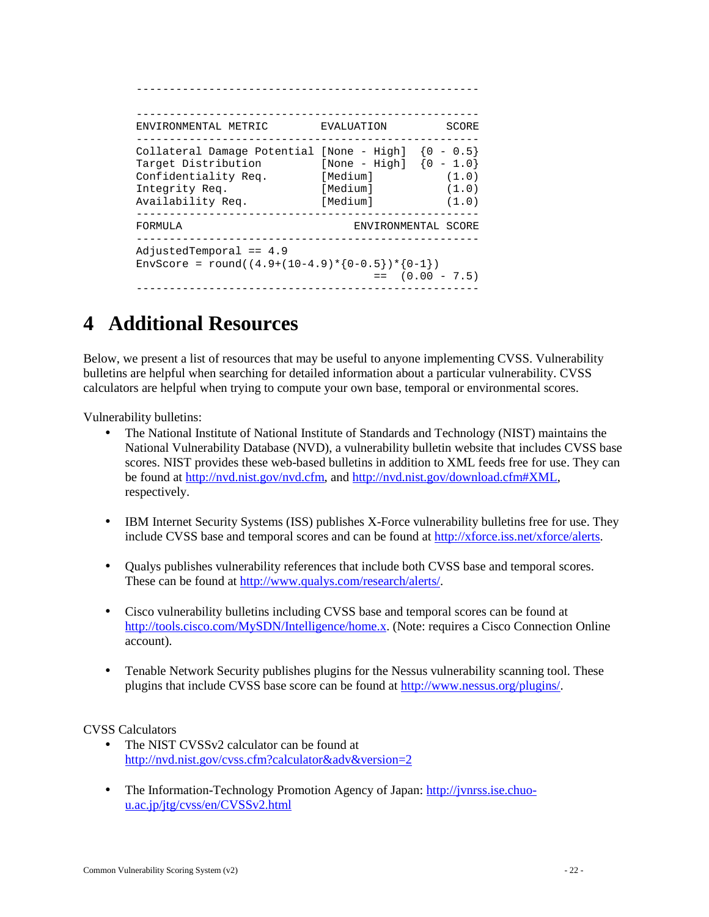| ENVIRONMENTAL METRIC                                                                                                            | EVALUATION                                                      | SCORE                                    |  |
|---------------------------------------------------------------------------------------------------------------------------------|-----------------------------------------------------------------|------------------------------------------|--|
| Collateral Damage Potential [None - High]<br>Target Distribution<br>Confidentiality Req.<br>Integrity Reg.<br>Availability Req. | [None - High] $\{0 - 1.0\}$<br>[Medium]<br>[Medium]<br>[Medium] | $\{0 - 0.5\}$<br>(1.0)<br>(1.0)<br>(1.0) |  |
| FORMULA                                                                                                                         |                                                                 | ENVIRONMENTAL SCORE                      |  |
| $AdjustedTemporal == 4.9$<br>EnvScore = round( $(4.9+(10-4.9)*{0-0.5})*(0-1)$ )<br>$==$ (0.00 - 7.5)                            |                                                                 |                                          |  |
|                                                                                                                                 |                                                                 |                                          |  |

# **4 Additional Resources**

Below, we present a list of resources that may be useful to anyone implementing CVSS. Vulnerability bulletins are helpful when searching for detailed information about a particular vulnerability. CVSS calculators are helpful when trying to compute your own base, temporal or environmental scores.

Vulnerability bulletins:

- The National Institute of National Institute of Standards and Technology (NIST) maintains the National Vulnerability Database (NVD), a vulnerability bulletin website that includes CVSS base scores. NIST provides these web-based bulletins in addition to XML feeds free for use. They can be found at http://nvd.nist.gov/nvd.cfm, and http://nvd.nist.gov/download.cfm#XML, respectively.
- IBM Internet Security Systems (ISS) publishes X-Force vulnerability bulletins free for use. They include CVSS base and temporal scores and can be found at http://xforce.iss.net/xforce/alerts.
- Qualys publishes vulnerability references that include both CVSS base and temporal scores. These can be found at http://www.qualys.com/research/alerts/.
- Cisco vulnerability bulletins including CVSS base and temporal scores can be found at http://tools.cisco.com/MySDN/Intelligence/home.x. (Note: requires a Cisco Connection Online account).
- Tenable Network Security publishes plugins for the Nessus vulnerability scanning tool. These plugins that include CVSS base score can be found at http://www.nessus.org/plugins/.

#### CVSS Calculators

- The NIST CVSSv2 calculator can be found at http://nvd.nist.gov/cvss.cfm?calculator&adv&version=2
- The Information-Technology Promotion Agency of Japan: http://jvnrss.ise.chuou.ac.jp/jtg/cvss/en/CVSSv2.html